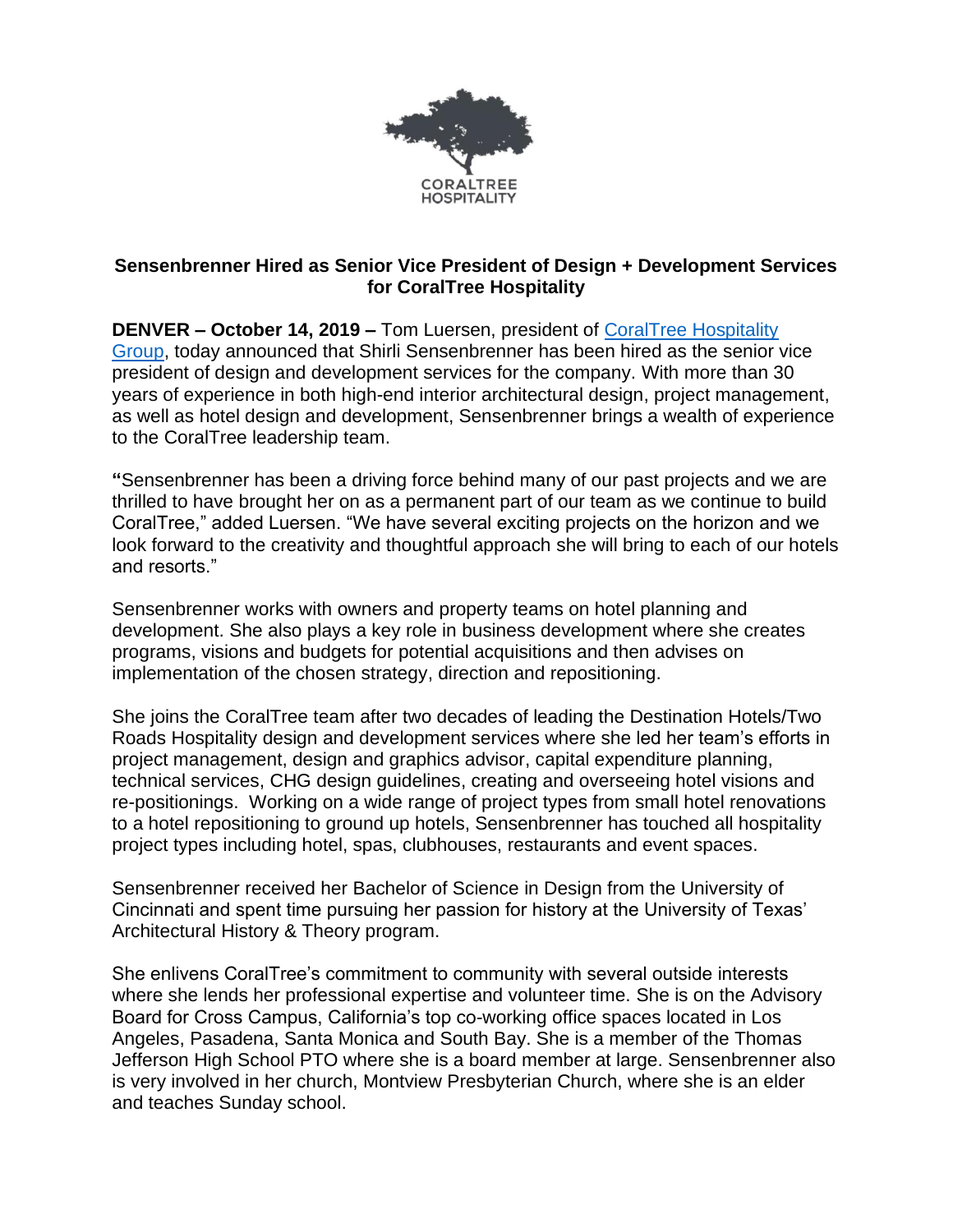

## **Sensenbrenner Hired as Senior Vice President of Design + Development Services for CoralTree Hospitality**

**DENVER – October 14, 2019 –** Tom Luersen, president of [CoralTree Hospitality](https://www.coraltreehospitality.com/)  [Group,](https://www.coraltreehospitality.com/) today announced that Shirli Sensenbrenner has been hired as the senior vice president of design and development services for the company. With more than 30 years of experience in both high-end interior architectural design, project management, as well as hotel design and development, Sensenbrenner brings a wealth of experience to the CoralTree leadership team.

**"**Sensenbrenner has been a driving force behind many of our past projects and we are thrilled to have brought her on as a permanent part of our team as we continue to build CoralTree," added Luersen. "We have several exciting projects on the horizon and we look forward to the creativity and thoughtful approach she will bring to each of our hotels and resorts."

Sensenbrenner works with owners and property teams on hotel planning and development. She also plays a key role in business development where she creates programs, visions and budgets for potential acquisitions and then advises on implementation of the chosen strategy, direction and repositioning.

She joins the CoralTree team after two decades of leading the Destination Hotels/Two Roads Hospitality design and development services where she led her team's efforts in project management, design and graphics advisor, capital expenditure planning, technical services, CHG design guidelines, creating and overseeing hotel visions and re-positionings. Working on a wide range of project types from small hotel renovations to a hotel repositioning to ground up hotels, Sensenbrenner has touched all hospitality project types including hotel, spas, clubhouses, restaurants and event spaces.

Sensenbrenner received her Bachelor of Science in Design from the University of Cincinnati and spent time pursuing her passion for history at the University of Texas' Architectural History & Theory program.

She enlivens CoralTree's commitment to community with several outside interests where she lends her professional expertise and volunteer time. She is on the Advisory Board for Cross Campus, California's top co-working office spaces located in Los Angeles, Pasadena, Santa Monica and South Bay. She is a member of the Thomas Jefferson High School PTO where she is a board member at large. Sensenbrenner also is very involved in her church, Montview Presbyterian Church, where she is an elder and teaches Sunday school.